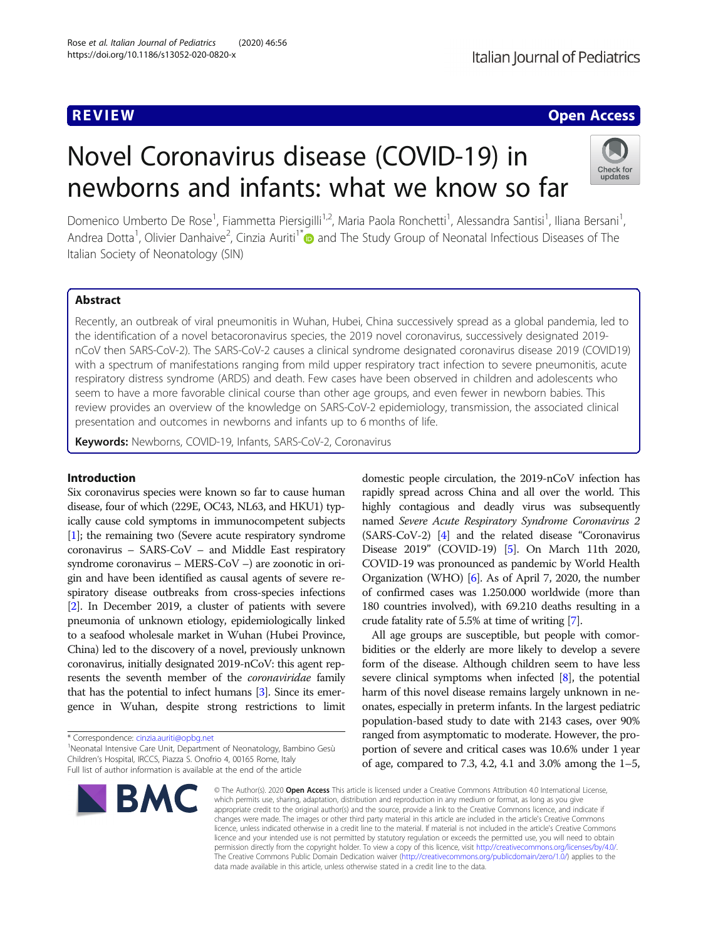# **REVIEW CONTROL** CONTROL CONTROL CONTROL CONTROL CONTROL CONTROL CONTROL CONTROL CONTROL CONTROL CONTROL CONTROL

# Novel Coronavirus disease (COVID-19) in newborns and infants: what we know so far



Domenico Umberto De Rose<sup>1</sup>, Fiammetta Piersigilli<sup>1,2</sup>, Maria Paola Ronchetti<sup>1</sup>, Alessandra Santisi<sup>1</sup>, Iliana Bersani<sup>1</sup> , Andrea Dotta<sup>1</sup>, Olivier Danhaive<sup>2</sup>, Cinzia Auriti<sup>1[\\*](http://orcid.org/0000-0001-9820-6557)</sup> and The Study Group of Neonatal Infectious Diseases of The Italian Society of Neonatology (SIN)

# Abstract

Recently, an outbreak of viral pneumonitis in Wuhan, Hubei, China successively spread as a global pandemia, led to the identification of a novel betacoronavirus species, the 2019 novel coronavirus, successively designated 2019 nCoV then SARS-CoV-2). The SARS-CoV-2 causes a clinical syndrome designated coronavirus disease 2019 (COVID19) with a spectrum of manifestations ranging from mild upper respiratory tract infection to severe pneumonitis, acute respiratory distress syndrome (ARDS) and death. Few cases have been observed in children and adolescents who seem to have a more favorable clinical course than other age groups, and even fewer in newborn babies. This review provides an overview of the knowledge on SARS-CoV-2 epidemiology, transmission, the associated clinical presentation and outcomes in newborns and infants up to 6 months of life.

Keywords: Newborns, COVID-19, Infants, SARS-CoV-2, Coronavirus

# Introduction

Six coronavirus species were known so far to cause human disease, four of which (229E, OC43, NL63, and HKU1) typically cause cold symptoms in immunocompetent subjects [[1](#page-6-0)]; the remaining two (Severe acute respiratory syndrome coronavirus – SARS-CoV – and Middle East respiratory syndrome coronavirus – MERS-CoV –) are zoonotic in origin and have been identified as causal agents of severe respiratory disease outbreaks from cross-species infections [[2](#page-6-0)]. In December 2019, a cluster of patients with severe pneumonia of unknown etiology, epidemiologically linked to a seafood wholesale market in Wuhan (Hubei Province, China) led to the discovery of a novel, previously unknown coronavirus, initially designated 2019-nCoV: this agent represents the seventh member of the coronaviridae family that has the potential to infect humans [\[3\]](#page-6-0). Since its emergence in Wuhan, despite strong restrictions to limit

\* Correspondence: [cinzia.auriti@opbg.net](mailto:cinzia.auriti@opbg.net) <sup>1</sup>

<sup>1</sup>Neonatal Intensive Care Unit, Department of Neonatology, Bambino Gesù Children's Hospital, IRCCS, Piazza S. Onofrio 4, 00165 Rome, Italy Full list of author information is available at the end of the article



domestic people circulation, the 2019-nCoV infection has rapidly spread across China and all over the world. This highly contagious and deadly virus was subsequently named Severe Acute Respiratory Syndrome Coronavirus 2 (SARS-CoV-2) [\[4\]](#page-6-0) and the related disease "Coronavirus Disease 2019" (COVID-19) [\[5\]](#page-6-0). On March 11th 2020, COVID-19 was pronounced as pandemic by World Health Organization (WHO) [\[6\]](#page-6-0). As of April 7, 2020, the number of confirmed cases was 1.250.000 worldwide (more than 180 countries involved), with 69.210 deaths resulting in a crude fatality rate of 5.5% at time of writing [\[7](#page-6-0)].

All age groups are susceptible, but people with comorbidities or the elderly are more likely to develop a severe form of the disease. Although children seem to have less severe clinical symptoms when infected [\[8](#page-6-0)], the potential harm of this novel disease remains largely unknown in neonates, especially in preterm infants. In the largest pediatric population-based study to date with 2143 cases, over 90% ranged from asymptomatic to moderate. However, the proportion of severe and critical cases was 10.6% under 1 year of age, compared to 7.3, 4.2, 4.1 and 3.0% among the 1–5,

© The Author(s), 2020 **Open Access** This article is licensed under a Creative Commons Attribution 4.0 International License, which permits use, sharing, adaptation, distribution and reproduction in any medium or format, as long as you give appropriate credit to the original author(s) and the source, provide a link to the Creative Commons licence, and indicate if changes were made. The images or other third party material in this article are included in the article's Creative Commons licence, unless indicated otherwise in a credit line to the material. If material is not included in the article's Creative Commons licence and your intended use is not permitted by statutory regulation or exceeds the permitted use, you will need to obtain permission directly from the copyright holder. To view a copy of this licence, visit [http://creativecommons.org/licenses/by/4.0/.](http://creativecommons.org/licenses/by/4.0/) The Creative Commons Public Domain Dedication waiver [\(http://creativecommons.org/publicdomain/zero/1.0/](http://creativecommons.org/publicdomain/zero/1.0/)) applies to the data made available in this article, unless otherwise stated in a credit line to the data.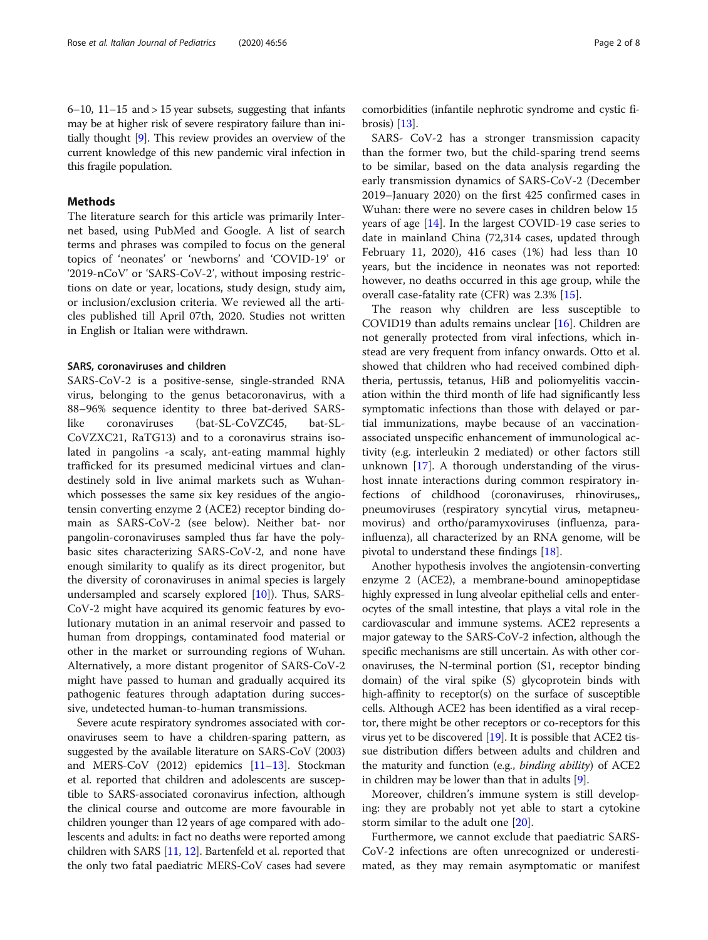$6-10$ ,  $11-15$  and  $> 15$  year subsets, suggesting that infants may be at higher risk of severe respiratory failure than initially thought [\[9\]](#page-6-0). This review provides an overview of the current knowledge of this new pandemic viral infection in this fragile population.

## Methods

The literature search for this article was primarily Internet based, using PubMed and Google. A list of search terms and phrases was compiled to focus on the general topics of 'neonates' or 'newborns' and 'COVID-19' or '2019-nCoV' or 'SARS-CoV-2', without imposing restrictions on date or year, locations, study design, study aim, or inclusion/exclusion criteria. We reviewed all the articles published till April 07th, 2020. Studies not written in English or Italian were withdrawn.

## SARS, coronaviruses and children

SARS-CoV-2 is a positive-sense, single-stranded RNA virus, belonging to the genus betacoronavirus, with a 88–96% sequence identity to three bat-derived SARSlike coronaviruses (bat-SL-CoVZC45, bat-SL-CoVZXC21, RaTG13) and to a coronavirus strains isolated in pangolins -a scaly, ant-eating mammal highly trafficked for its presumed medicinal virtues and clandestinely sold in live animal markets such as Wuhanwhich possesses the same six key residues of the angiotensin converting enzyme 2 (ACE2) receptor binding domain as SARS-CoV-2 (see below). Neither bat- nor pangolin-coronaviruses sampled thus far have the polybasic sites characterizing SARS-CoV-2, and none have enough similarity to qualify as its direct progenitor, but the diversity of coronaviruses in animal species is largely undersampled and scarsely explored [[10\]](#page-6-0)). Thus, SARS-CoV-2 might have acquired its genomic features by evolutionary mutation in an animal reservoir and passed to human from droppings, contaminated food material or other in the market or surrounding regions of Wuhan. Alternatively, a more distant progenitor of SARS-CoV-2 might have passed to human and gradually acquired its pathogenic features through adaptation during successive, undetected human-to-human transmissions.

Severe acute respiratory syndromes associated with coronaviruses seem to have a children-sparing pattern, as suggested by the available literature on SARS-CoV (2003) and MERS-CoV (2012) epidemics [[11](#page-6-0)–[13\]](#page-6-0). Stockman et al. reported that children and adolescents are susceptible to SARS-associated coronavirus infection, although the clinical course and outcome are more favourable in children younger than 12 years of age compared with adolescents and adults: in fact no deaths were reported among children with SARS [[11](#page-6-0), [12\]](#page-6-0). Bartenfeld et al. reported that the only two fatal paediatric MERS-CoV cases had severe

comorbidities (infantile nephrotic syndrome and cystic fibrosis) [\[13\]](#page-6-0).

SARS- CoV-2 has a stronger transmission capacity than the former two, but the child-sparing trend seems to be similar, based on the data analysis regarding the early transmission dynamics of SARS-CoV-2 (December 2019–January 2020) on the first 425 confirmed cases in Wuhan: there were no severe cases in children below 15 years of age [[14\]](#page-6-0). In the largest COVID-19 case series to date in mainland China (72,314 cases, updated through February 11, 2020), 416 cases (1%) had less than 10 years, but the incidence in neonates was not reported: however, no deaths occurred in this age group, while the overall case-fatality rate (CFR) was 2.3% [\[15](#page-6-0)].

The reason why children are less susceptible to COVID19 than adults remains unclear [\[16](#page-6-0)]. Children are not generally protected from viral infections, which instead are very frequent from infancy onwards. Otto et al. showed that children who had received combined diphtheria, pertussis, tetanus, HiB and poliomyelitis vaccination within the third month of life had significantly less symptomatic infections than those with delayed or partial immunizations, maybe because of an vaccinationassociated unspecific enhancement of immunological activity (e.g. interleukin 2 mediated) or other factors still unknown [[17](#page-6-0)]. A thorough understanding of the virushost innate interactions during common respiratory infections of childhood (coronaviruses, rhinoviruses,, pneumoviruses (respiratory syncytial virus, metapneumovirus) and ortho/paramyxoviruses (influenza, parainfluenza), all characterized by an RNA genome, will be pivotal to understand these findings [[18\]](#page-6-0).

Another hypothesis involves the angiotensin-converting enzyme 2 (ACE2), a membrane-bound aminopeptidase highly expressed in lung alveolar epithelial cells and enterocytes of the small intestine, that plays a vital role in the cardiovascular and immune systems. ACE2 represents a major gateway to the SARS-CoV-2 infection, although the specific mechanisms are still uncertain. As with other coronaviruses, the N-terminal portion (S1, receptor binding domain) of the viral spike (S) glycoprotein binds with high-affinity to receptor(s) on the surface of susceptible cells. Although ACE2 has been identified as a viral receptor, there might be other receptors or co-receptors for this virus yet to be discovered [[19](#page-6-0)]. It is possible that ACE2 tissue distribution differs between adults and children and the maturity and function (e.g., binding ability) of ACE2 in children may be lower than that in adults [[9\]](#page-6-0).

Moreover, children's immune system is still developing: they are probably not yet able to start a cytokine storm similar to the adult one [[20\]](#page-6-0).

Furthermore, we cannot exclude that paediatric SARS-CoV-2 infections are often unrecognized or underestimated, as they may remain asymptomatic or manifest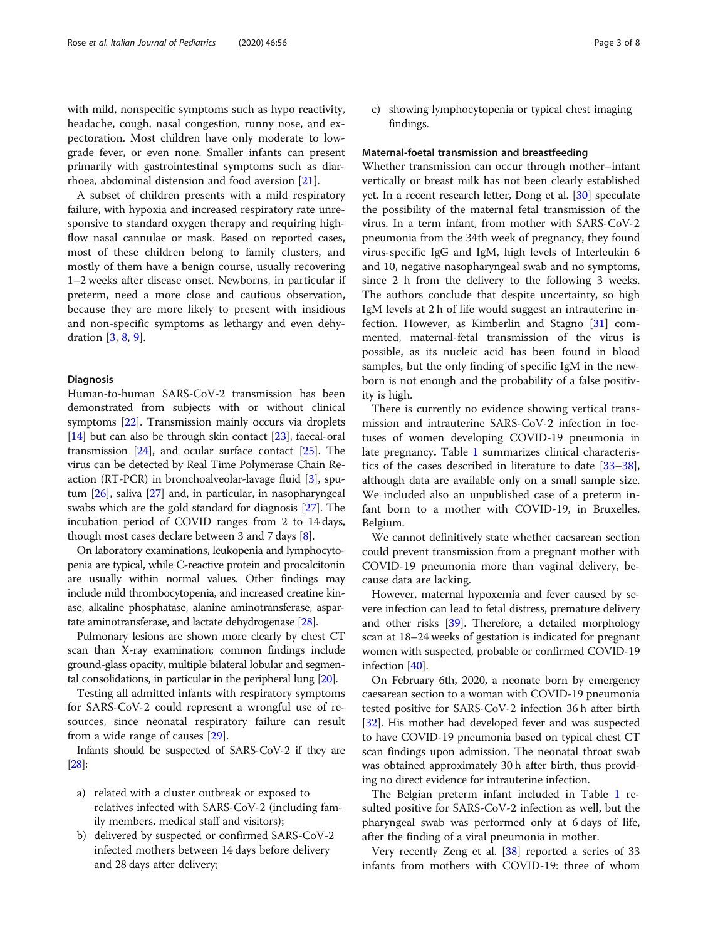with mild, nonspecific symptoms such as hypo reactivity, headache, cough, nasal congestion, runny nose, and expectoration. Most children have only moderate to lowgrade fever, or even none. Smaller infants can present primarily with gastrointestinal symptoms such as diarrhoea, abdominal distension and food aversion [\[21\]](#page-6-0).

A subset of children presents with a mild respiratory failure, with hypoxia and increased respiratory rate unresponsive to standard oxygen therapy and requiring highflow nasal cannulae or mask. Based on reported cases, most of these children belong to family clusters, and mostly of them have a benign course, usually recovering 1–2 weeks after disease onset. Newborns, in particular if preterm, need a more close and cautious observation, because they are more likely to present with insidious and non-specific symptoms as lethargy and even dehydration [\[3](#page-6-0), [8](#page-6-0), [9](#page-6-0)].

## Diagnosis

Human-to-human SARS-CoV-2 transmission has been demonstrated from subjects with or without clinical symptoms [[22\]](#page-6-0). Transmission mainly occurs via droplets [[14](#page-6-0)] but can also be through skin contact [\[23\]](#page-6-0), faecal-oral transmission  $[24]$  $[24]$ , and ocular surface contact  $[25]$  $[25]$  $[25]$ . The virus can be detected by Real Time Polymerase Chain Reaction (RT-PCR) in bronchoalveolar-lavage fluid [[3](#page-6-0)], sputum [[26](#page-6-0)], saliva [[27](#page-6-0)] and, in particular, in nasopharyngeal swabs which are the gold standard for diagnosis [[27](#page-6-0)]. The incubation period of COVID ranges from 2 to 14 days, though most cases declare between 3 and 7 days [[8\]](#page-6-0).

On laboratory examinations, leukopenia and lymphocytopenia are typical, while C-reactive protein and procalcitonin are usually within normal values. Other findings may include mild thrombocytopenia, and increased creatine kinase, alkaline phosphatase, alanine aminotransferase, aspartate aminotransferase, and lactate dehydrogenase [\[28\]](#page-6-0).

Pulmonary lesions are shown more clearly by chest CT scan than X-ray examination; common findings include ground-glass opacity, multiple bilateral lobular and segmental consolidations, in particular in the peripheral lung [\[20](#page-6-0)].

Testing all admitted infants with respiratory symptoms for SARS-CoV-2 could represent a wrongful use of resources, since neonatal respiratory failure can result from a wide range of causes [\[29](#page-6-0)].

Infants should be suspected of SARS-CoV-2 if they are [[28\]](#page-6-0):

- a) related with a cluster outbreak or exposed to relatives infected with SARS-CoV-2 (including family members, medical staff and visitors);
- b) delivered by suspected or confirmed SARS-CoV-2 infected mothers between 14 days before delivery and 28 days after delivery;

c) showing lymphocytopenia or typical chest imaging findings.

#### Maternal-foetal transmission and breastfeeding

Whether transmission can occur through mother–infant vertically or breast milk has not been clearly established yet. In a recent research letter, Dong et al. [[30\]](#page-6-0) speculate the possibility of the maternal fetal transmission of the virus. In a term infant, from mother with SARS-CoV-2 pneumonia from the 34th week of pregnancy, they found virus-specific IgG and IgM, high levels of Interleukin 6 and 10, negative nasopharyngeal swab and no symptoms, since 2 h from the delivery to the following 3 weeks. The authors conclude that despite uncertainty, so high IgM levels at 2 h of life would suggest an intrauterine infection. However, as Kimberlin and Stagno [\[31](#page-6-0)] commented, maternal-fetal transmission of the virus is possible, as its nucleic acid has been found in blood samples, but the only finding of specific IgM in the newborn is not enough and the probability of a false positivity is high.

There is currently no evidence showing vertical transmission and intrauterine SARS-CoV-2 infection in foetuses of women developing COVID-19 pneumonia in late pregnancy. Table [1](#page-3-0) summarizes clinical characteristics of the cases described in literature to date [[33](#page-6-0)–[38](#page-7-0)], although data are available only on a small sample size. We included also an unpublished case of a preterm infant born to a mother with COVID-19, in Bruxelles, Belgium.

We cannot definitively state whether caesarean section could prevent transmission from a pregnant mother with COVID-19 pneumonia more than vaginal delivery, because data are lacking.

However, maternal hypoxemia and fever caused by severe infection can lead to fetal distress, premature delivery and other risks [[39](#page-7-0)]. Therefore, a detailed morphology scan at 18–24 weeks of gestation is indicated for pregnant women with suspected, probable or confirmed COVID-19 infection [[40](#page-7-0)].

On February 6th, 2020, a neonate born by emergency caesarean section to a woman with COVID-19 pneumonia tested positive for SARS-CoV-2 infection 36 h after birth [[32](#page-6-0)]. His mother had developed fever and was suspected to have COVID-19 pneumonia based on typical chest CT scan findings upon admission. The neonatal throat swab was obtained approximately 30 h after birth, thus providing no direct evidence for intrauterine infection.

The Belgian preterm infant included in Table [1](#page-3-0) resulted positive for SARS-CoV-2 infection as well, but the pharyngeal swab was performed only at 6 days of life, after the finding of a viral pneumonia in mother.

Very recently Zeng et al. [\[38](#page-7-0)] reported a series of 33 infants from mothers with COVID-19: three of whom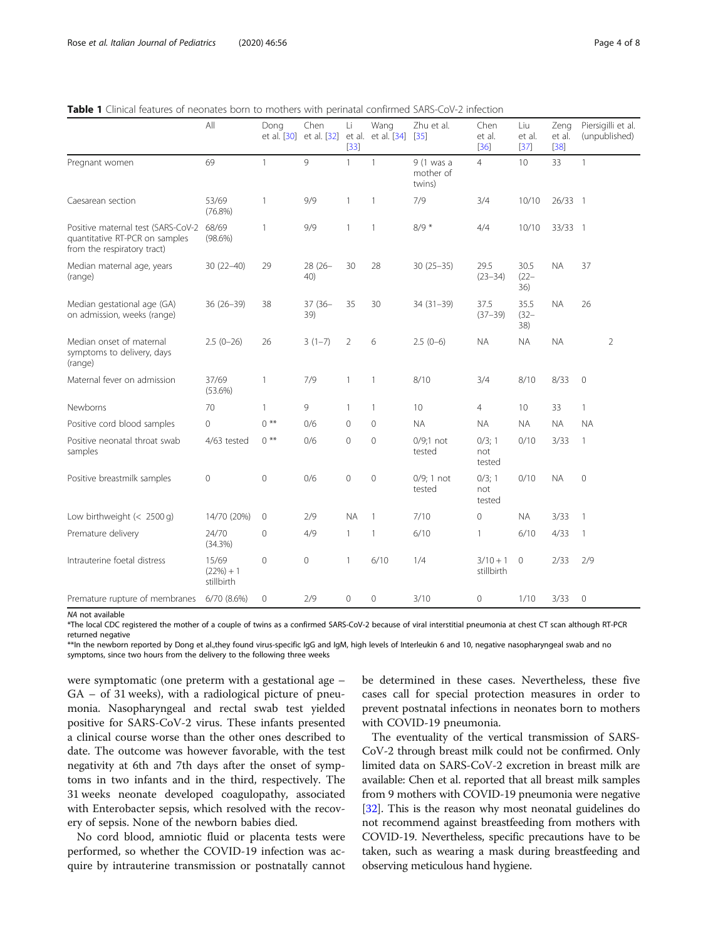<span id="page-3-0"></span>

| <b>Table 1</b> Clinical features of neonates born to mothers with perinatal confirmed SARS-CoV-2 infection |
|------------------------------------------------------------------------------------------------------------|
|------------------------------------------------------------------------------------------------------------|

|                                                                                                           | All                                | Dong<br>et al. [30] | Chen<br>et al. [32] | Li<br>$[33]$   | Wang<br>et al. et al. [34] [35] | Zhu et al.                        | Chen<br>et al.<br>$[36]$ | Liu<br>et al.<br>$[37]$ | Zeng<br>et al.<br>$[38]$ | Piersigilli et al.<br>(unpublished) |
|-----------------------------------------------------------------------------------------------------------|------------------------------------|---------------------|---------------------|----------------|---------------------------------|-----------------------------------|--------------------------|-------------------------|--------------------------|-------------------------------------|
| Pregnant women                                                                                            | 69                                 | 1                   | 9                   | $\mathbf{1}$   | $\mathbf{1}$                    | 9 (1 was a<br>mother of<br>twins) | $\overline{4}$           | 10                      | 33                       | $\mathbf{1}$                        |
| Caesarean section                                                                                         | 53/69<br>$(76.8\%)$                | $\mathbf{1}$        | 9/9                 | $\mathbf{1}$   | $\mathbf{1}$                    | 7/9                               | 3/4                      | 10/10                   | $26/33$ 1                |                                     |
| Positive maternal test (SARS-CoV-2 68/69<br>quantitative RT-PCR on samples<br>from the respiratory tract) | $(98.6\%)$                         | $\mathbf{1}$        | 9/9                 | $\mathbf{1}$   | $\mathbf{1}$                    | $8/9*$                            | 4/4                      | 10/10                   | 33/33 1                  |                                     |
| Median maternal age, years<br>(range)                                                                     | $30(22 - 40)$                      | 29                  | $28(26 -$<br>40)    | 30             | 28                              | $30(25 - 35)$                     | 29.5<br>$(23 - 34)$      | 30.5<br>$(22 -$<br>36)  | <b>NA</b>                | 37                                  |
| Median gestational age (GA)<br>on admission, weeks (range)                                                | $36(26-39)$                        | 38                  | 37 (36-<br>39)      | 35             | 30                              | $34(31 - 39)$                     | 37.5<br>$(37 - 39)$      | 35.5<br>$(32 -$<br>38)  | <b>NA</b>                | 26                                  |
| Median onset of maternal<br>symptoms to delivery, days<br>(range)                                         | $2.5(0-26)$                        | 26                  | $3(1-7)$            | $\overline{2}$ | 6                               | $2.5(0-6)$                        | <b>NA</b>                | <b>NA</b>               | <b>NA</b>                | $\overline{2}$                      |
| Maternal fever on admission                                                                               | 37/69<br>$(53.6\%)$                | $\mathbf{1}$        | 7/9                 | $\mathbf{1}$   | $\mathbf{1}$                    | 8/10                              | 3/4                      | 8/10                    | 8/33                     | $\mathbf{0}$                        |
| Newborns                                                                                                  | 70                                 | 1                   | 9                   | $\mathbf{1}$   | $\mathbf{1}$                    | 10                                | 4                        | 10                      | 33                       | $\mathbf{1}$                        |
| Positive cord blood samples                                                                               | $\Omega$                           | $0$ **              | 0/6                 | $\Omega$       | 0                               | <b>NA</b>                         | <b>NA</b>                | <b>NA</b>               | <b>NA</b>                | <b>NA</b>                           |
| Positive neonatal throat swab<br>samples                                                                  | 4/63 tested                        | $0$ **              | 0/6                 | $\mathbf{0}$   | $\mathbf 0$                     | $0/9;1$ not<br>tested             | 0/3; 1<br>not<br>tested  | 0/10                    | 3/33                     | $\mathbf{1}$                        |
| Positive breastmilk samples                                                                               | $\mathbf 0$                        | $\overline{O}$      | 0/6                 | $\mathbf{0}$   | $\mathbf{0}$                    | $0/9$ ; 1 not<br>tested           | 0/3; 1<br>not<br>tested  | 0/10                    | <b>NA</b>                | $\mathbf{0}$                        |
| Low birthweight $(< 2500 q)$                                                                              | 14/70 (20%)                        | $\mathbf{0}$        | 2/9                 | <b>NA</b>      | $\mathbf{1}$                    | 7/10                              | $\circ$                  | <b>NA</b>               | 3/33                     | $\mathbf{1}$                        |
| Premature delivery                                                                                        | 24/70<br>(34.3%)                   | $\circ$             | 4/9                 | $\mathbf{1}$   | $\mathbf{1}$                    | 6/10                              | 1                        | 6/10                    | 4/33                     | $\mathbf{1}$                        |
| Intrauterine foetal distress                                                                              | 15/69<br>$(22%) + 1$<br>stillbirth | $\overline{0}$      | $\overline{0}$      | 1              | 6/10                            | 1/4                               | $3/10 + 1$<br>stillbirth | $\mathbf{0}$            | 2/33                     | 2/9                                 |
| Premature rupture of membranes                                                                            | 6/70 (8.6%)                        | $\circ$             | 2/9                 | $\mathbf{0}$   | $\mathbf 0$                     | 3/10                              | 0                        | 1/10                    | 3/33                     | $\mathbf{0}$                        |

NA not available

\*The local CDC registered the mother of a couple of twins as a confirmed SARS-CoV-2 because of viral interstitial pneumonia at chest CT scan although RT-PCR returned negative

\*\*In the newborn reported by Dong et al.,they found virus-specific IgG and IgM, high levels of Interleukin 6 and 10, negative nasopharyngeal swab and no symptoms, since two hours from the delivery to the following three weeks

were symptomatic (one preterm with a gestational age – GA – of 31 weeks), with a radiological picture of pneumonia. Nasopharyngeal and rectal swab test yielded positive for SARS-CoV-2 virus. These infants presented a clinical course worse than the other ones described to date. The outcome was however favorable, with the test negativity at 6th and 7th days after the onset of symptoms in two infants and in the third, respectively. The 31 weeks neonate developed coagulopathy, associated with Enterobacter sepsis, which resolved with the recovery of sepsis. None of the newborn babies died.

No cord blood, amniotic fluid or placenta tests were performed, so whether the COVID-19 infection was acquire by intrauterine transmission or postnatally cannot

be determined in these cases. Nevertheless, these five cases call for special protection measures in order to prevent postnatal infections in neonates born to mothers with COVID-19 pneumonia.

The eventuality of the vertical transmission of SARS-CoV-2 through breast milk could not be confirmed. Only limited data on SARS-CoV-2 excretion in breast milk are available: Chen et al. reported that all breast milk samples from 9 mothers with COVID-19 pneumonia were negative [[32](#page-6-0)]. This is the reason why most neonatal guidelines do not recommend against breastfeeding from mothers with COVID-19. Nevertheless, specific precautions have to be taken, such as wearing a mask during breastfeeding and observing meticulous hand hygiene.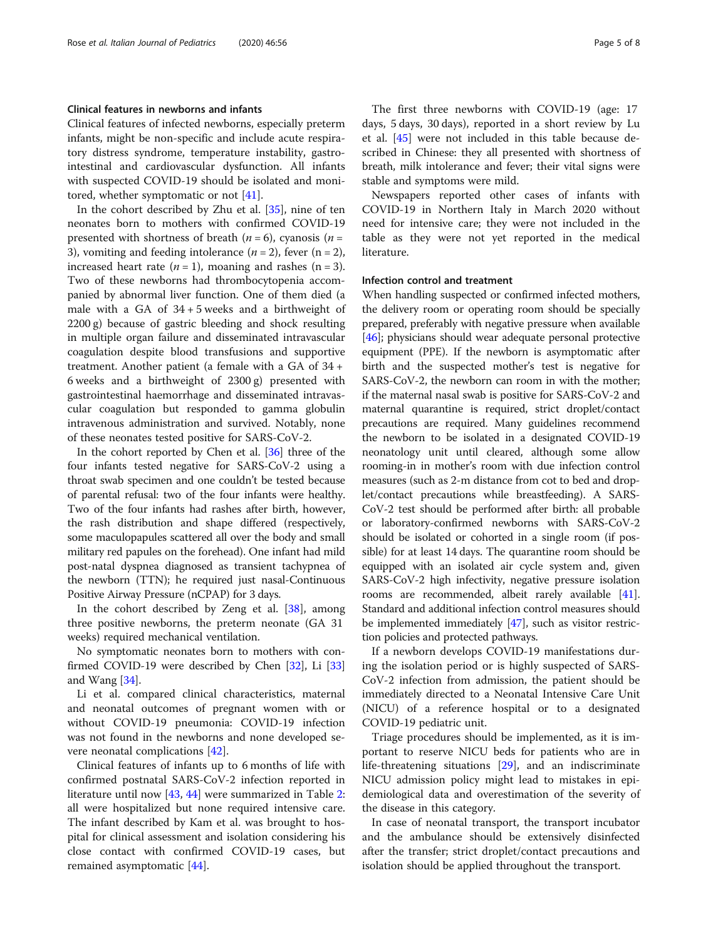## Clinical features in newborns and infants

Clinical features of infected newborns, especially preterm infants, might be non-specific and include acute respiratory distress syndrome, temperature instability, gastrointestinal and cardiovascular dysfunction. All infants with suspected COVID-19 should be isolated and monitored, whether symptomatic or not [\[41](#page-7-0)].

In the cohort described by Zhu et al. [\[35\]](#page-7-0), nine of ten neonates born to mothers with confirmed COVID-19 presented with shortness of breath ( $n = 6$ ), cyanosis ( $n =$ 3), vomiting and feeding intolerance  $(n = 2)$ , fever  $(n = 2)$ , increased heart rate  $(n = 1)$ , moaning and rashes  $(n = 3)$ . Two of these newborns had thrombocytopenia accompanied by abnormal liver function. One of them died (a male with a GA of  $34 + 5$  weeks and a birthweight of 2200 g) because of gastric bleeding and shock resulting in multiple organ failure and disseminated intravascular coagulation despite blood transfusions and supportive treatment. Another patient (a female with a GA of 34 + 6 weeks and a birthweight of 2300 g) presented with gastrointestinal haemorrhage and disseminated intravascular coagulation but responded to gamma globulin intravenous administration and survived. Notably, none of these neonates tested positive for SARS-CoV-2.

In the cohort reported by Chen et al. [[36](#page-7-0)] three of the four infants tested negative for SARS-CoV-2 using a throat swab specimen and one couldn't be tested because of parental refusal: two of the four infants were healthy. Two of the four infants had rashes after birth, however, the rash distribution and shape differed (respectively, some maculopapules scattered all over the body and small military red papules on the forehead). One infant had mild post-natal dyspnea diagnosed as transient tachypnea of the newborn (TTN); he required just nasal-Continuous Positive Airway Pressure (nCPAP) for 3 days.

In the cohort described by Zeng et al. [\[38](#page-7-0)], among three positive newborns, the preterm neonate (GA 31 weeks) required mechanical ventilation.

No symptomatic neonates born to mothers with confirmed COVID-19 were described by Chen [\[32](#page-6-0)], Li [[33](#page-6-0)] and Wang [[34\]](#page-6-0).

Li et al. compared clinical characteristics, maternal and neonatal outcomes of pregnant women with or without COVID-19 pneumonia: COVID-19 infection was not found in the newborns and none developed severe neonatal complications [\[42](#page-7-0)].

Clinical features of infants up to 6 months of life with confirmed postnatal SARS-CoV-2 infection reported in literature until now [[43,](#page-7-0) [44](#page-7-0)] were summarized in Table [2](#page-5-0): all were hospitalized but none required intensive care. The infant described by Kam et al. was brought to hospital for clinical assessment and isolation considering his close contact with confirmed COVID-19 cases, but remained asymptomatic [[44\]](#page-7-0).

The first three newborns with COVID-19 (age: 17 days, 5 days, 30 days), reported in a short review by Lu et al. [[45\]](#page-7-0) were not included in this table because described in Chinese: they all presented with shortness of breath, milk intolerance and fever; their vital signs were stable and symptoms were mild.

Newspapers reported other cases of infants with COVID-19 in Northern Italy in March 2020 without need for intensive care; they were not included in the table as they were not yet reported in the medical literature.

### Infection control and treatment

When handling suspected or confirmed infected mothers, the delivery room or operating room should be specially prepared, preferably with negative pressure when available [[46](#page-7-0)]; physicians should wear adequate personal protective equipment (PPE). If the newborn is asymptomatic after birth and the suspected mother's test is negative for SARS-CoV-2, the newborn can room in with the mother; if the maternal nasal swab is positive for SARS-CoV-2 and maternal quarantine is required, strict droplet/contact precautions are required. Many guidelines recommend the newborn to be isolated in a designated COVID-19 neonatology unit until cleared, although some allow rooming-in in mother's room with due infection control measures (such as 2-m distance from cot to bed and droplet/contact precautions while breastfeeding). A SARS-CoV-2 test should be performed after birth: all probable or laboratory-confirmed newborns with SARS-CoV-2 should be isolated or cohorted in a single room (if possible) for at least 14 days. The quarantine room should be equipped with an isolated air cycle system and, given SARS-CoV-2 high infectivity, negative pressure isolation rooms are recommended, albeit rarely available [[41](#page-7-0)]. Standard and additional infection control measures should be implemented immediately [[47](#page-7-0)], such as visitor restriction policies and protected pathways.

If a newborn develops COVID-19 manifestations during the isolation period or is highly suspected of SARS-CoV-2 infection from admission, the patient should be immediately directed to a Neonatal Intensive Care Unit (NICU) of a reference hospital or to a designated COVID-19 pediatric unit.

Triage procedures should be implemented, as it is important to reserve NICU beds for patients who are in life-threatening situations [[29\]](#page-6-0), and an indiscriminate NICU admission policy might lead to mistakes in epidemiological data and overestimation of the severity of the disease in this category.

In case of neonatal transport, the transport incubator and the ambulance should be extensively disinfected after the transfer; strict droplet/contact precautions and isolation should be applied throughout the transport.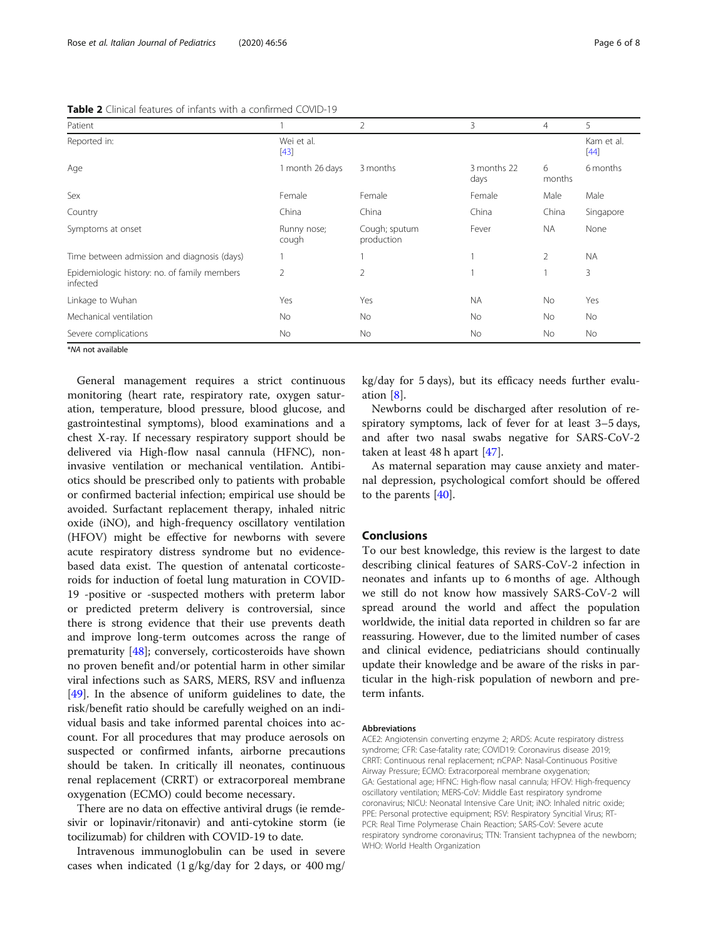| Patient                                                  |                      | $\overline{2}$              | 3                   | $\overline{4}$ | 5                    |
|----------------------------------------------------------|----------------------|-----------------------------|---------------------|----------------|----------------------|
| Reported in:                                             | Wei et al.<br>$[43]$ |                             |                     |                | Kam et al.<br>$[44]$ |
| Age                                                      | 1 month 26 days      | 3 months                    | 3 months 22<br>days | 6<br>months    | 6 months             |
| Sex                                                      | Female               | Female                      | Female              | Male           | Male                 |
| Country                                                  | China                | China                       | China               | China          | Singapore            |
| Symptoms at onset                                        | Runny nose;<br>cough | Cough; sputum<br>production | Fever               | NA.            | None                 |
| Time between admission and diagnosis (days)              |                      |                             |                     | 2              | <b>NA</b>            |
| Epidemiologic history: no. of family members<br>infected | 2                    | $\overline{2}$              |                     |                | 3                    |
| Linkage to Wuhan                                         | Yes                  | Yes                         | <b>NA</b>           | <b>No</b>      | Yes                  |
| Mechanical ventilation                                   | <b>No</b>            | No.                         | <b>No</b>           | <b>No</b>      | <b>No</b>            |
| Severe complications                                     | No                   | No                          | No                  | No             | No                   |

<span id="page-5-0"></span>Table 2 Clinical features of infants with a confirmed COVID-19

\*NA not available

General management requires a strict continuous monitoring (heart rate, respiratory rate, oxygen saturation, temperature, blood pressure, blood glucose, and gastrointestinal symptoms), blood examinations and a chest X-ray. If necessary respiratory support should be delivered via High-flow nasal cannula (HFNC), noninvasive ventilation or mechanical ventilation. Antibiotics should be prescribed only to patients with probable or confirmed bacterial infection; empirical use should be avoided. Surfactant replacement therapy, inhaled nitric oxide (iNO), and high-frequency oscillatory ventilation (HFOV) might be effective for newborns with severe acute respiratory distress syndrome but no evidencebased data exist. The question of antenatal corticosteroids for induction of foetal lung maturation in COVID-19 -positive or -suspected mothers with preterm labor or predicted preterm delivery is controversial, since there is strong evidence that their use prevents death and improve long-term outcomes across the range of prematurity [[48](#page-7-0)]; conversely, corticosteroids have shown no proven benefit and/or potential harm in other similar viral infections such as SARS, MERS, RSV and influenza [[49\]](#page-7-0). In the absence of uniform guidelines to date, the risk/benefit ratio should be carefully weighed on an individual basis and take informed parental choices into account. For all procedures that may produce aerosols on suspected or confirmed infants, airborne precautions should be taken. In critically ill neonates, continuous renal replacement (CRRT) or extracorporeal membrane oxygenation (ECMO) could become necessary.

There are no data on effective antiviral drugs (ie remdesivir or lopinavir/ritonavir) and anti-cytokine storm (ie tocilizumab) for children with COVID-19 to date.

Intravenous immunoglobulin can be used in severe cases when indicated (1 g/kg/day for 2 days, or 400 mg/ kg/day for 5 days), but its efficacy needs further evaluation [\[8](#page-6-0)].

Newborns could be discharged after resolution of respiratory symptoms, lack of fever for at least 3–5 days, and after two nasal swabs negative for SARS-CoV-2 taken at least 48 h apart [[47\]](#page-7-0).

As maternal separation may cause anxiety and maternal depression, psychological comfort should be offered to the parents [[40\]](#page-7-0).

## Conclusions

To our best knowledge, this review is the largest to date describing clinical features of SARS-CoV-2 infection in neonates and infants up to 6 months of age. Although we still do not know how massively SARS-CoV-2 will spread around the world and affect the population worldwide, the initial data reported in children so far are reassuring. However, due to the limited number of cases and clinical evidence, pediatricians should continually update their knowledge and be aware of the risks in particular in the high-risk population of newborn and preterm infants.

#### Abbreviations

ACE2: Angiotensin converting enzyme 2; ARDS: Acute respiratory distress syndrome; CFR: Case-fatality rate; COVID19: Coronavirus disease 2019; CRRT: Continuous renal replacement; nCPAP: Nasal-Continuous Positive Airway Pressure; ECMO: Extracorporeal membrane oxygenation; GA: Gestational age; HFNC: High-flow nasal cannula; HFOV: High-frequency oscillatory ventilation; MERS-CoV: Middle East respiratory syndrome coronavirus; NICU: Neonatal Intensive Care Unit; iNO: Inhaled nitric oxide; PPE: Personal protective equipment; RSV: Respiratory Syncitial Virus; RT-PCR: Real Time Polymerase Chain Reaction; SARS-CoV: Severe acute respiratory syndrome coronavirus; TTN: Transient tachypnea of the newborn; WHO: World Health Organization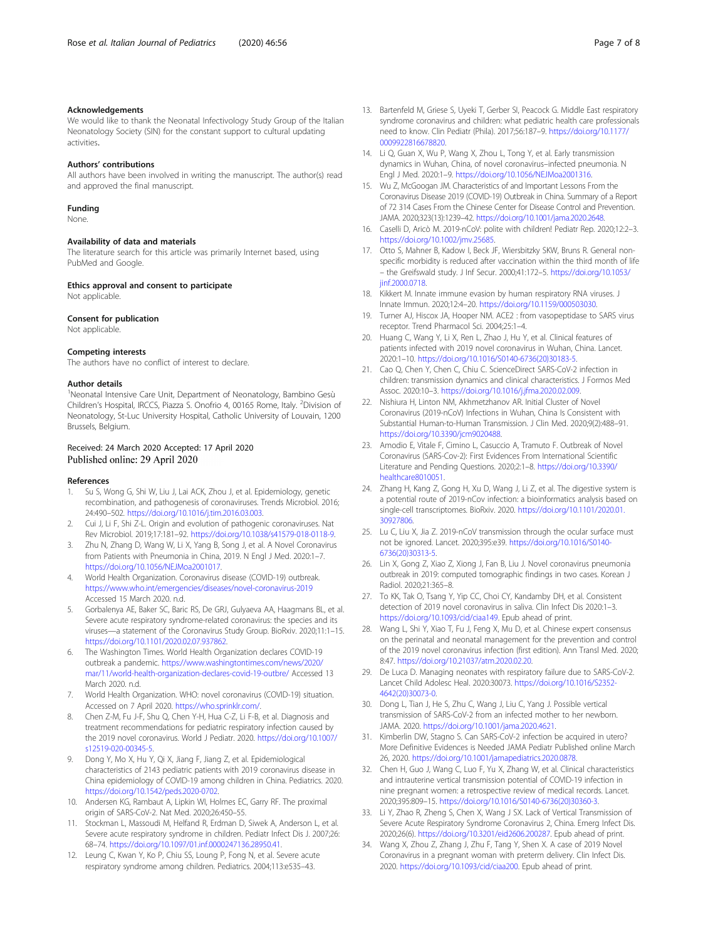## <span id="page-6-0"></span>Acknowledgements

We would like to thank the Neonatal Infectivology Study Group of the Italian Neonatology Society (SIN) for the constant support to cultural updating activities.

## Authors' contributions

All authors have been involved in writing the manuscript. The author(s) read and approved the final manuscript.

#### Funding

None.

#### Availability of data and materials

The literature search for this article was primarily Internet based, using PubMed and Google.

#### Ethics approval and consent to participate

Not applicable.

#### Consent for publication

Not applicable.

## Competing interests

The authors have no conflict of interest to declare.

#### Author details

<sup>1</sup>Neonatal Intensive Care Unit, Department of Neonatology, Bambino Gesù Children's Hospital, IRCCS, Piazza S. Onofrio 4, 00165 Rome, Italy. <sup>2</sup>Division of Neonatology, St-Luc University Hospital, Catholic University of Louvain, 1200 Brussels, Belgium.

## Received: 24 March 2020 Accepted: 17 April 2020 Published online: 29 April 2020

#### References

- 1. Su S, Wong G, Shi W, Liu J, Lai ACK, Zhou J, et al. Epidemiology, genetic recombination, and pathogenesis of coronaviruses. Trends Microbiol. 2016; 24:490–502. [https://doi.org/10.1016/j.tim.2016.03.003.](https://doi.org/10.1016/j.tim.2016.03.003)
- 2. Cui J, Li F, Shi Z-L. Origin and evolution of pathogenic coronaviruses. Nat Rev Microbiol. 2019;17:181–92. <https://doi.org/10.1038/s41579-018-0118-9>.
- Zhu N, Zhang D, Wang W, Li X, Yang B, Song J, et al. A Novel Coronavirus from Patients with Pneumonia in China, 2019. N Engl J Med. 2020:1–7. <https://doi.org/10.1056/NEJMoa2001017>.
- 4. World Health Organization. Coronavirus disease (COVID-19) outbreak. <https://www.who.int/emergencies/diseases/novel-coronavirus-2019> Accessed 15 March 2020. n.d.
- 5. Gorbalenya AE, Baker SC, Baric RS, De GRJ, Gulyaeva AA, Haagmans BL, et al. Severe acute respiratory syndrome-related coronavirus: the species and its viruses—a statement of the Coronavirus Study Group. BioRxiv. 2020;11:1–15. <https://doi.org/10.1101/2020.02.07.937862>.
- 6. The Washington Times. World Health Organization declares COVID-19 outbreak a pandemic. [https://www.washingtontimes.com/news/2020/](https://www.washingtontimes.com/news/2020/mar/11/world-health-organization-declares-covid-19-outbre/) [mar/11/world-health-organization-declares-covid-19-outbre/](https://www.washingtontimes.com/news/2020/mar/11/world-health-organization-declares-covid-19-outbre/) Accessed 13 March 2020. n.d.
- 7. World Health Organization. WHO: novel coronavirus (COVID-19) situation. Accessed on 7 April 2020. [https://who.sprinklr.com/.](https://who.sprinklr.com/)
- 8. Chen Z-M, Fu J-F, Shu Q, Chen Y-H, Hua C-Z, Li F-B, et al. Diagnosis and treatment recommendations for pediatric respiratory infection caused by the 2019 novel coronavirus. World J Pediatr. 2020. [https://doi.org/10.1007/](https://doi.org/10.1007/s12519-020-00345-5) [s12519-020-00345-5](https://doi.org/10.1007/s12519-020-00345-5).
- 9. Dong Y, Mo X, Hu Y, Qi X, Jiang F, Jiang Z, et al. Epidemiological characteristics of 2143 pediatric patients with 2019 coronavirus disease in China epidemiology of COVID-19 among children in China. Pediatrics. 2020. <https://doi.org/10.1542/peds.2020-0702>.
- 10. Andersen KG, Rambaut A, Lipkin WI, Holmes EC, Garry RF. The proximal origin of SARS-CoV-2. Nat Med. 2020;26:450–55.
- 11. Stockman L, Massoudi M, Helfand R, Erdman D, Siwek A, Anderson L, et al. Severe acute respiratory syndrome in children. Pediatr Infect Dis J. 2007;26: 68–74. <https://doi.org/10.1097/01.inf.0000247136.28950.41>.
- 12. Leung C, Kwan Y, Ko P, Chiu SS, Loung P, Fong N, et al. Severe acute respiratory syndrome among children. Pediatrics. 2004;113:e535–43.
- 13. Bartenfeld M, Griese S, Uyeki T, Gerber SI, Peacock G. Middle East respiratory syndrome coronavirus and children: what pediatric health care professionals need to know. Clin Pediatr (Phila). 2017;56:187–9. [https://doi.org/10.1177/](https://doi.org/10.1177/0009922816678820) [0009922816678820](https://doi.org/10.1177/0009922816678820).
- 14. Li Q, Guan X, Wu P, Wang X, Zhou L, Tong Y, et al. Early transmission dynamics in Wuhan, China, of novel coronavirus–infected pneumonia. N Engl J Med. 2020:1–9. <https://doi.org/10.1056/NEJMoa2001316>.
- 15. Wu Z, McGoogan JM. Characteristics of and Important Lessons From the Coronavirus Disease 2019 (COVID-19) Outbreak in China. Summary of a Report of 72 314 Cases From the Chinese Center for Disease Control and Prevention. JAMA. 2020;323(13):1239–42. [https://doi.org/10.1001/jama.2020.2648.](https://doi.org/10.1001/jama.2020.2648)
- 16. Caselli D, Aricò M. 2019-nCoV: polite with children! Pediatr Rep. 2020;12:2–3. [https://doi.org/10.1002/jmv.25685.](https://doi.org/10.1002/jmv.25685)
- 17. Otto S, Mahner B, Kadow I, Beck JF, Wiersbitzky SKW, Bruns R. General nonspecific morbidity is reduced after vaccination within the third month of life – the Greifswald study. J Inf Secur. 2000;41:172–5. [https://doi.org/10.1053/](https://doi.org/10.1053/jinf.2000.0718) [jinf.2000.0718](https://doi.org/10.1053/jinf.2000.0718)
- 18. Kikkert M. Innate immune evasion by human respiratory RNA viruses. J Innate Immun. 2020;12:4–20. <https://doi.org/10.1159/000503030>.
- 19. Turner AJ, Hiscox JA, Hooper NM. ACE2 : from vasopeptidase to SARS virus receptor. Trend Pharmacol Sci. 2004;25:1–4.
- 20. Huang C, Wang Y, Li X, Ren L, Zhao J, Hu Y, et al. Clinical features of patients infected with 2019 novel coronavirus in Wuhan, China. Lancet. 2020:1–10. [https://doi.org/10.1016/S0140-6736\(20\)30183-5.](https://doi.org/10.1016/S0140-6736(20)30183-5)
- 21. Cao Q, Chen Y, Chen C, Chiu C. ScienceDirect SARS-CoV-2 infection in children: transmission dynamics and clinical characteristics. J Formos Med Assoc. 2020:10–3. [https://doi.org/10.1016/j.jfma.2020.02.009.](https://doi.org/10.1016/j.jfma.2020.02.009)
- 22. Nishiura H, Linton NM, Akhmetzhanov AR. Initial Cluster of Novel Coronavirus (2019-nCoV) Infections in Wuhan, China Is Consistent with Substantial Human-to-Human Transmission. J Clin Med. 2020;9(2):488–91. <https://doi.org/10.3390/jcm9020488>.
- 23. Amodio E, Vitale F, Cimino L, Casuccio A, Tramuto F. Outbreak of Novel Coronavirus (SARS-Cov-2): First Evidences From International Scientific Literature and Pending Questions. 2020;2:1–8. [https://doi.org/10.3390/](https://doi.org/10.3390/healthcare8010051) [healthcare8010051](https://doi.org/10.3390/healthcare8010051).
- 24. Zhang H, Kang Z, Gong H, Xu D, Wang J, Li Z, et al. The digestive system is a potential route of 2019-nCov infection: a bioinformatics analysis based on single-cell transcriptomes. BioRxiv. 2020. [https://doi.org/10.1101/2020.01.](https://doi.org/10.1101/2020.01.30927806) [30927806](https://doi.org/10.1101/2020.01.30927806).
- 25. Lu C, Liu X, Jia Z. 2019-nCoV transmission through the ocular surface must not be ignored. Lancet. 2020;395:e39. [https://doi.org/10.1016/S0140-](https://doi.org/10.1016/S0140-6736(20)30313-5) [6736\(20\)30313-5](https://doi.org/10.1016/S0140-6736(20)30313-5).
- 26. Lin X, Gong Z, Xiao Z, Xiong J, Fan B, Liu J. Novel coronavirus pneumonia outbreak in 2019: computed tomographic findings in two cases. Korean J Radiol. 2020;21:365–8.
- 27. To KK, Tak O, Tsang Y, Yip CC, Choi CY, Kandamby DH, et al. Consistent detection of 2019 novel coronavirus in saliva. Clin Infect Dis 2020:1–3. <https://doi.org/10.1093/cid/ciaa149>. Epub ahead of print.
- 28. Wang L, Shi Y, Xiao T, Fu J, Feng X, Mu D, et al. Chinese expert consensus on the perinatal and neonatal management for the prevention and control of the 2019 novel coronavirus infection (first edition). Ann Transl Med. 2020; 8:47. <https://doi.org/10.21037/atm.2020.02.20>.
- 29. De Luca D. Managing neonates with respiratory failure due to SARS-CoV-2. Lancet Child Adolesc Heal. 2020:30073. [https://doi.org/10.1016/S2352-](https://doi.org/10.1016/S2352-4642(20)30073-0) [4642\(20\)30073-0](https://doi.org/10.1016/S2352-4642(20)30073-0).
- 30. Dong L, Tian J, He S, Zhu C, Wang J, Liu C, Yang J. Possible vertical transmission of SARS-CoV-2 from an infected mother to her newborn. JAMA. 2020. [https://doi.org/10.1001/jama.2020.4621.](https://doi.org/10.1001/jama.2020.4621)
- 31. Kimberlin DW, Stagno S. Can SARS-CoV-2 infection be acquired in utero? More Definitive Evidences is Needed JAMA Pediatr Published online March 26, 2020. [https://doi.org/10.1001/jamapediatrics.2020.0878.](https://doi.org/10.1001/jamapediatrics.2020.0878)
- 32. Chen H, Guo J, Wang C, Luo F, Yu X, Zhang W, et al. Clinical characteristics and intrauterine vertical transmission potential of COVID-19 infection in nine pregnant women: a retrospective review of medical records. Lancet. 2020;395:809–15. [https://doi.org/10.1016/S0140-6736\(20\)30360-3.](https://doi.org/10.1016/S0140-6736(20)30360-3)
- 33. Li Y, Zhao R, Zheng S, Chen X, Wang J SX. Lack of Vertical Transmission of Severe Acute Respiratory Syndrome Coronavirus 2, China. Emerg Infect Dis. 2020;26(6). <https://doi.org/10.3201/eid2606.200287>. Epub ahead of print.
- 34. Wang X, Zhou Z, Zhang J, Zhu F, Tang Y, Shen X. A case of 2019 Novel Coronavirus in a pregnant woman with preterm delivery. Clin Infect Dis. 2020. <https://doi.org/10.1093/cid/ciaa200>. Epub ahead of print.